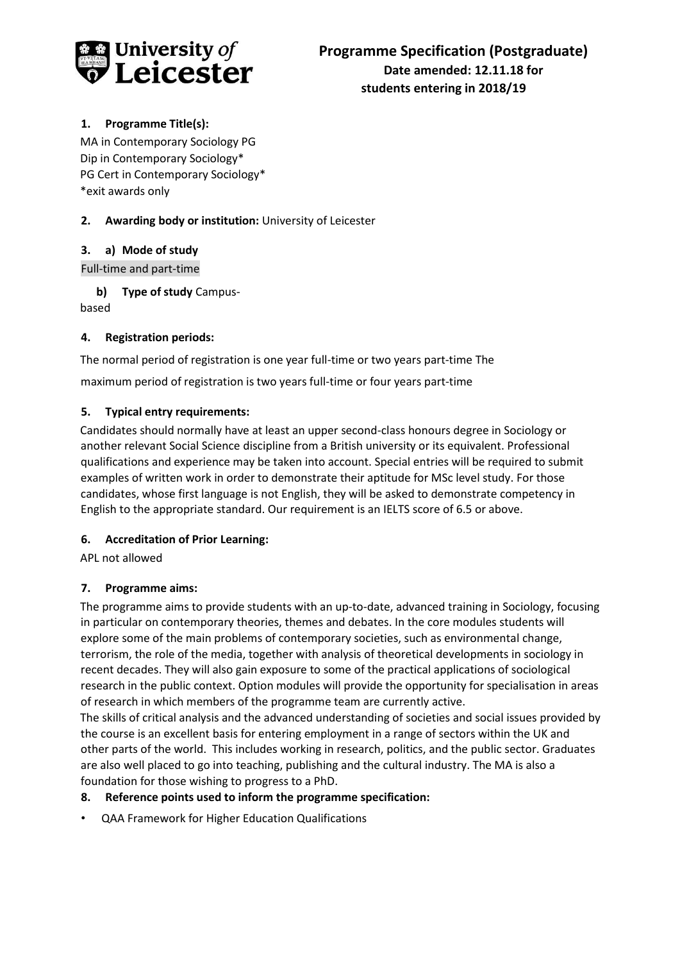

## **1. Programme Title(s):**

MA in Contemporary Sociology PG Dip in Contemporary Sociology\* PG Cert in Contemporary Sociology\* \*exit awards only

## **2. Awarding body or institution:** University of Leicester

### **3. a) Mode of study**

Full-time and part-time

**b) Type of study** Campusbased

### **4. Registration periods:**

The normal period of registration is one year full-time or two years part-time The maximum period of registration is two years full-time or four years part-time

# **5. Typical entry requirements:**

Candidates should normally have at least an upper second-class honours degree in Sociology or another relevant Social Science discipline from a British university or its equivalent. Professional qualifications and experience may be taken into account. Special entries will be required to submit examples of written work in order to demonstrate their aptitude for MSc level study. For those candidates, whose first language is not English, they will be asked to demonstrate competency in English to the appropriate standard. Our requirement is an IELTS score of 6.5 or above.

### **6. Accreditation of Prior Learning:**

APL not allowed

# **7. Programme aims:**

The programme aims to provide students with an up-to-date, advanced training in Sociology, focusing in particular on contemporary theories, themes and debates. In the core modules students will explore some of the main problems of contemporary societies, such as environmental change, terrorism, the role of the media, together with analysis of theoretical developments in sociology in recent decades. They will also gain exposure to some of the practical applications of sociological research in the public context. Option modules will provide the opportunity for specialisation in areas of research in which members of the programme team are currently active.

The skills of critical analysis and the advanced understanding of societies and social issues provided by the course is an excellent basis for entering employment in a range of sectors within the UK and other parts of the world. This includes working in research, politics, and the public sector. Graduates are also well placed to go into teaching, publishing and the cultural industry. The MA is also a foundation for those wishing to progress to a PhD.

### **8. Reference points used to inform the programme specification:**

• QAA Framework for Higher Education Qualifications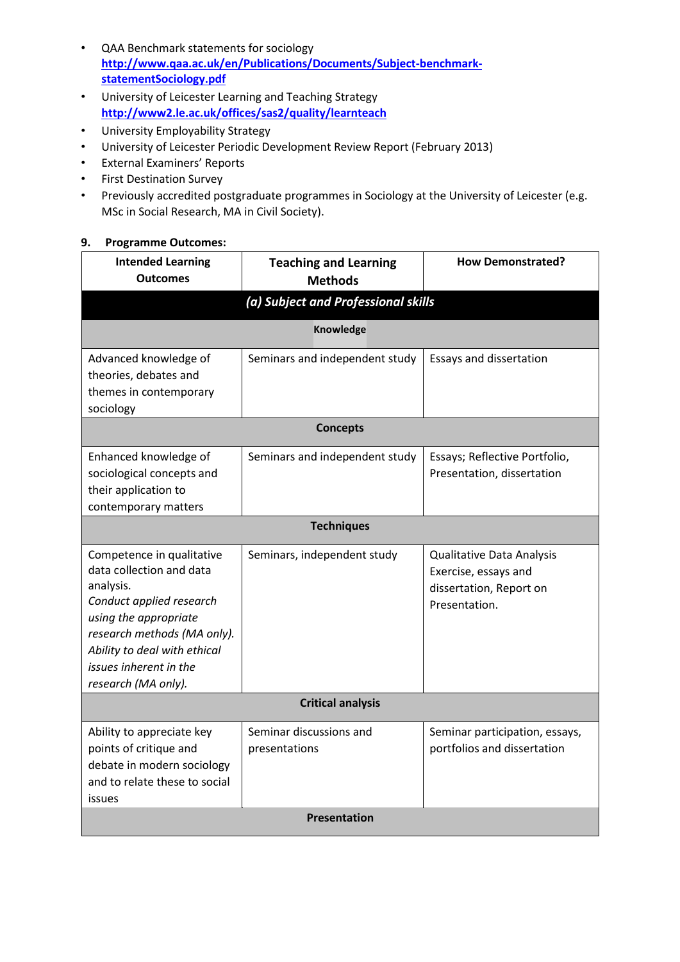- QAA Benchmark statements for sociology **[http://www.qaa.ac.uk/en/Publications/Documents/Subject-benchmark](http://www.qaa.ac.uk/en/Publications/Documents/Subject-benchmark-statement-Sociology.pdf)[statementSociology.pdf](http://www.qaa.ac.uk/en/Publications/Documents/Subject-benchmark-statement-Sociology.pdf)**
- University of Leicester Learning and Teaching Strategy **<http://www2.le.ac.uk/offices/sas2/quality/learnteach>**
- University Employability Strategy
- University of Leicester Periodic Development Review Report (February 2013)
- External Examiners' Reports
- First Destination Survey
- Previously accredited postgraduate programmes in Sociology at the University of Leicester (e.g. MSc in Social Research, MA in Civil Society).

#### **9. Programme Outcomes:**

| <b>Intended Learning</b><br><b>Outcomes</b>                                                                                                                                                                                             | <b>Teaching and Learning</b><br><b>Methods</b> | <b>How Demonstrated?</b>                                                                      |  |  |
|-----------------------------------------------------------------------------------------------------------------------------------------------------------------------------------------------------------------------------------------|------------------------------------------------|-----------------------------------------------------------------------------------------------|--|--|
| (a) Subject and Professional skills                                                                                                                                                                                                     |                                                |                                                                                               |  |  |
| <b>Knowledge</b>                                                                                                                                                                                                                        |                                                |                                                                                               |  |  |
| Advanced knowledge of<br>theories, debates and<br>themes in contemporary<br>sociology                                                                                                                                                   | Seminars and independent study                 | Essays and dissertation                                                                       |  |  |
| <b>Concepts</b>                                                                                                                                                                                                                         |                                                |                                                                                               |  |  |
| Enhanced knowledge of<br>sociological concepts and<br>their application to<br>contemporary matters                                                                                                                                      | Seminars and independent study                 | Essays; Reflective Portfolio,<br>Presentation, dissertation                                   |  |  |
| <b>Techniques</b>                                                                                                                                                                                                                       |                                                |                                                                                               |  |  |
| Competence in qualitative<br>data collection and data<br>analysis.<br>Conduct applied research<br>using the appropriate<br>research methods (MA only).<br>Ability to deal with ethical<br>issues inherent in the<br>research (MA only). | Seminars, independent study                    | Qualitative Data Analysis<br>Exercise, essays and<br>dissertation, Report on<br>Presentation. |  |  |
| <b>Critical analysis</b>                                                                                                                                                                                                                |                                                |                                                                                               |  |  |
| Ability to appreciate key<br>points of critique and<br>debate in modern sociology<br>and to relate these to social<br>issues                                                                                                            | Seminar discussions and<br>presentations       | Seminar participation, essays,<br>portfolios and dissertation                                 |  |  |
| <b>Presentation</b>                                                                                                                                                                                                                     |                                                |                                                                                               |  |  |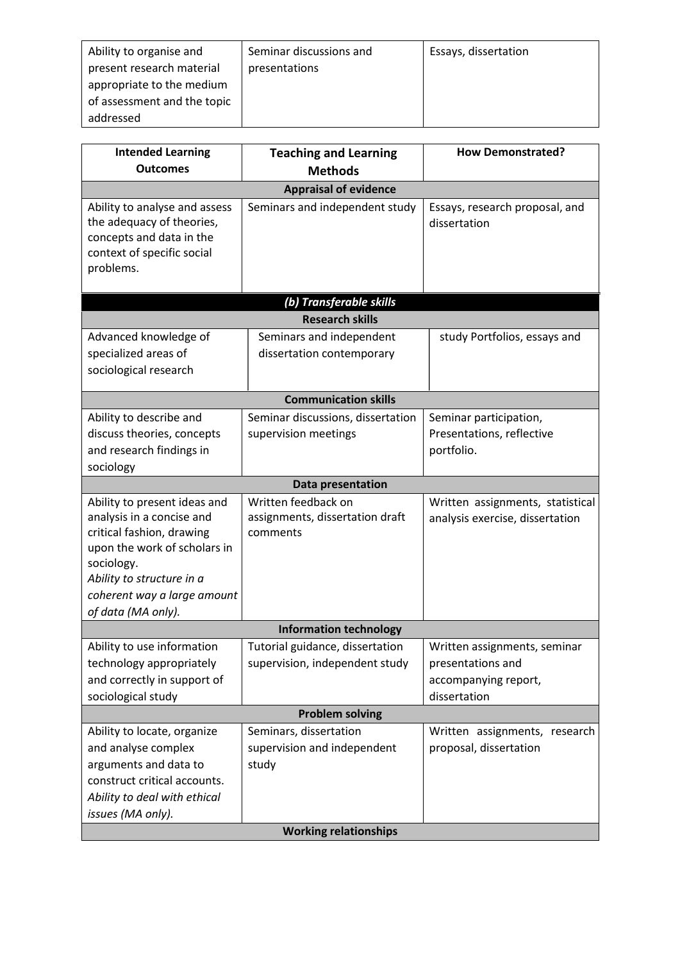| Ability to organise and     | Seminar discussions and | Essays, dissertation |
|-----------------------------|-------------------------|----------------------|
| present research material   | presentations           |                      |
| appropriate to the medium   |                         |                      |
| of assessment and the topic |                         |                      |
| addressed                   |                         |                      |

| <b>Intended Learning</b>                                                                                                          | <b>Teaching and Learning</b>      | <b>How Demonstrated?</b>                       |  |  |
|-----------------------------------------------------------------------------------------------------------------------------------|-----------------------------------|------------------------------------------------|--|--|
| <b>Outcomes</b>                                                                                                                   | <b>Methods</b>                    |                                                |  |  |
|                                                                                                                                   | <b>Appraisal of evidence</b>      |                                                |  |  |
| Ability to analyse and assess<br>the adequacy of theories,<br>concepts and data in the<br>context of specific social<br>problems. | Seminars and independent study    | Essays, research proposal, and<br>dissertation |  |  |
|                                                                                                                                   | (b) Transferable skills           |                                                |  |  |
|                                                                                                                                   | <b>Research skills</b>            |                                                |  |  |
| Advanced knowledge of                                                                                                             | Seminars and independent          | study Portfolios, essays and                   |  |  |
| specialized areas of                                                                                                              | dissertation contemporary         |                                                |  |  |
| sociological research                                                                                                             |                                   |                                                |  |  |
| <b>Communication skills</b>                                                                                                       |                                   |                                                |  |  |
| Ability to describe and                                                                                                           | Seminar discussions, dissertation | Seminar participation,                         |  |  |
| discuss theories, concepts                                                                                                        | supervision meetings              | Presentations, reflective                      |  |  |
| and research findings in                                                                                                          |                                   | portfolio.                                     |  |  |
| sociology                                                                                                                         |                                   |                                                |  |  |
|                                                                                                                                   | Data presentation                 |                                                |  |  |
| Ability to present ideas and                                                                                                      | Written feedback on               | Written assignments, statistical               |  |  |
| analysis in a concise and                                                                                                         | assignments, dissertation draft   | analysis exercise, dissertation                |  |  |
| critical fashion, drawing                                                                                                         | comments                          |                                                |  |  |
| upon the work of scholars in                                                                                                      |                                   |                                                |  |  |
| sociology.<br>Ability to structure in a                                                                                           |                                   |                                                |  |  |
| coherent way a large amount                                                                                                       |                                   |                                                |  |  |
| of data (MA only).                                                                                                                |                                   |                                                |  |  |
| <b>Information technology</b>                                                                                                     |                                   |                                                |  |  |
| Ability to use information                                                                                                        | Tutorial guidance, dissertation   | Written assignments, seminar                   |  |  |
| technology appropriately                                                                                                          | supervision, independent study    | presentations and                              |  |  |
| and correctly in support of                                                                                                       |                                   | accompanying report,                           |  |  |
| sociological study                                                                                                                |                                   | dissertation                                   |  |  |
| <b>Problem solving</b>                                                                                                            |                                   |                                                |  |  |
| Ability to locate, organize                                                                                                       | Seminars, dissertation            | Written assignments, research                  |  |  |
| and analyse complex                                                                                                               | supervision and independent       | proposal, dissertation                         |  |  |
| arguments and data to                                                                                                             | study                             |                                                |  |  |
| construct critical accounts.                                                                                                      |                                   |                                                |  |  |
| Ability to deal with ethical                                                                                                      |                                   |                                                |  |  |
| issues (MA only).                                                                                                                 |                                   |                                                |  |  |
| <b>Working relationships</b>                                                                                                      |                                   |                                                |  |  |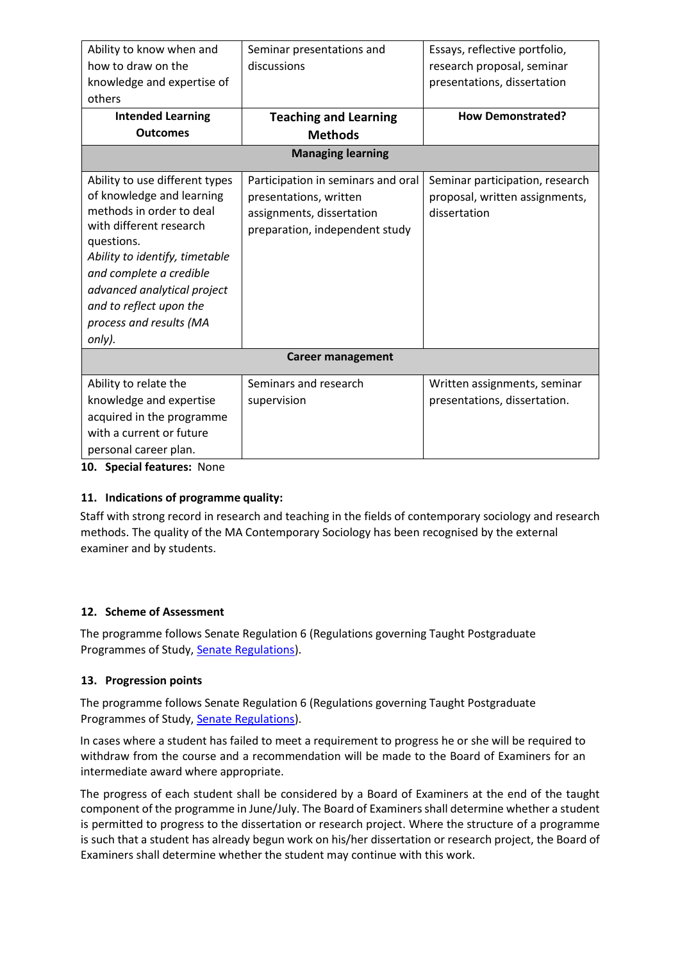| Ability to know when and                                                                                                                                                                                                                                                                     | Seminar presentations and                                                                                                   | Essays, reflective portfolio,                                                     |  |  |
|----------------------------------------------------------------------------------------------------------------------------------------------------------------------------------------------------------------------------------------------------------------------------------------------|-----------------------------------------------------------------------------------------------------------------------------|-----------------------------------------------------------------------------------|--|--|
| how to draw on the                                                                                                                                                                                                                                                                           | discussions                                                                                                                 | research proposal, seminar                                                        |  |  |
| knowledge and expertise of                                                                                                                                                                                                                                                                   |                                                                                                                             | presentations, dissertation                                                       |  |  |
| others                                                                                                                                                                                                                                                                                       |                                                                                                                             |                                                                                   |  |  |
| <b>Intended Learning</b>                                                                                                                                                                                                                                                                     | <b>Teaching and Learning</b>                                                                                                | <b>How Demonstrated?</b>                                                          |  |  |
| <b>Outcomes</b>                                                                                                                                                                                                                                                                              | <b>Methods</b>                                                                                                              |                                                                                   |  |  |
| <b>Managing learning</b>                                                                                                                                                                                                                                                                     |                                                                                                                             |                                                                                   |  |  |
| Ability to use different types<br>of knowledge and learning<br>methods in order to deal<br>with different research<br>questions.<br>Ability to identify, timetable<br>and complete a credible<br>advanced analytical project<br>and to reflect upon the<br>process and results (MA<br>only). | Participation in seminars and oral<br>presentations, written<br>assignments, dissertation<br>preparation, independent study | Seminar participation, research<br>proposal, written assignments,<br>dissertation |  |  |
| <b>Career management</b>                                                                                                                                                                                                                                                                     |                                                                                                                             |                                                                                   |  |  |
| Ability to relate the<br>knowledge and expertise<br>acquired in the programme<br>with a current or future<br>personal career plan.                                                                                                                                                           | Seminars and research<br>supervision                                                                                        | Written assignments, seminar<br>presentations, dissertation.                      |  |  |

**10. Special features:** None

### **11. Indications of programme quality:**

Staff with strong record in research and teaching in the fields of contemporary sociology and research methods. The quality of the MA Contemporary Sociology has been recognised by the external examiner and by students.

### **12. Scheme of Assessment**

The programme follows Senate Regulation 6 (Regulations governing Taught Postgraduate Programmes of Study, [Senate Regulations\).](http://www2.le.ac.uk/offices/sas2/regulations/general-regulations-for-taught-programmes)

### **13. Progression points**

The programme follows Senate Regulation 6 (Regulations governing Taught Postgraduate Programmes of Study, [Senate Regulations\).](http://www2.le.ac.uk/offices/sas2/regulations/general-regulations-for-taught-programmes)

In cases where a student has failed to meet a requirement to progress he or she will be required to withdraw from the course and a recommendation will be made to the Board of Examiners for an intermediate award where appropriate.

The progress of each student shall be considered by a Board of Examiners at the end of the taught component of the programme in June/July. The Board of Examiners shall determine whether a student is permitted to progress to the dissertation or research project. Where the structure of a programme is such that a student has already begun work on his/her dissertation or research project, the Board of Examiners shall determine whether the student may continue with this work.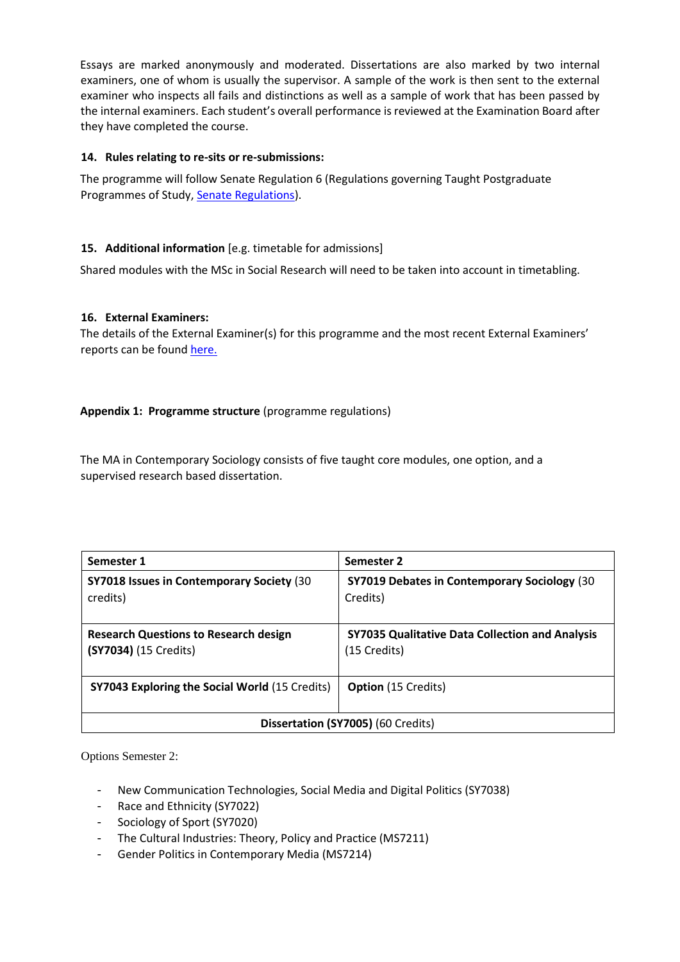Essays are marked anonymously and moderated. Dissertations are also marked by two internal examiners, one of whom is usually the supervisor. A sample of the work is then sent to the external examiner who inspects all fails and distinctions as well as a sample of work that has been passed by the internal examiners. Each student's overall performance is reviewed at the Examination Board after they have completed the course.

#### **14. Rules relating to re-sits or re-submissions:**

The programme will follow Senate Regulation 6 (Regulations governing Taught Postgraduate Programmes of Study, [Senate Regulations\).](http://www2.le.ac.uk/offices/sas2/regulations/general-regulations-for-taught-programmes)

#### **15. Additional information** [e.g. timetable for admissions]

Shared modules with the MSc in Social Research will need to be taken into account in timetabling.

#### **16. External Examiners:**

The details of the External Examiner(s) for this programme and the most recent External Examiners' reports can be found [here.](https://exampapers.le.ac.uk/xmlui/handle/123456789/171)

#### **Appendix 1: Programme structure** (programme regulations)

The MA in Contemporary Sociology consists of five taught core modules, one option, and a supervised research based dissertation.

| Semester 1                                                            | Semester 2                                                             |  |
|-----------------------------------------------------------------------|------------------------------------------------------------------------|--|
| SY7018 Issues in Contemporary Society (30<br>credits)                 | SY7019 Debates in Contemporary Sociology (30<br>Credits)               |  |
| <b>Research Questions to Research design</b><br>(SY7034) (15 Credits) | <b>SY7035 Qualitative Data Collection and Analysis</b><br>(15 Credits) |  |
| <b>SY7043 Exploring the Social World (15 Credits)</b>                 | <b>Option</b> (15 Credits)                                             |  |
| Dissertation (SY7005) (60 Credits)                                    |                                                                        |  |

Options Semester 2:

- New Communication Technologies, Social Media and Digital Politics (SY7038)
- Race and Ethnicity (SY7022)
- Sociology of Sport (SY7020)
- The Cultural Industries: Theory, Policy and Practice (MS7211)
- Gender Politics in Contemporary Media (MS7214)